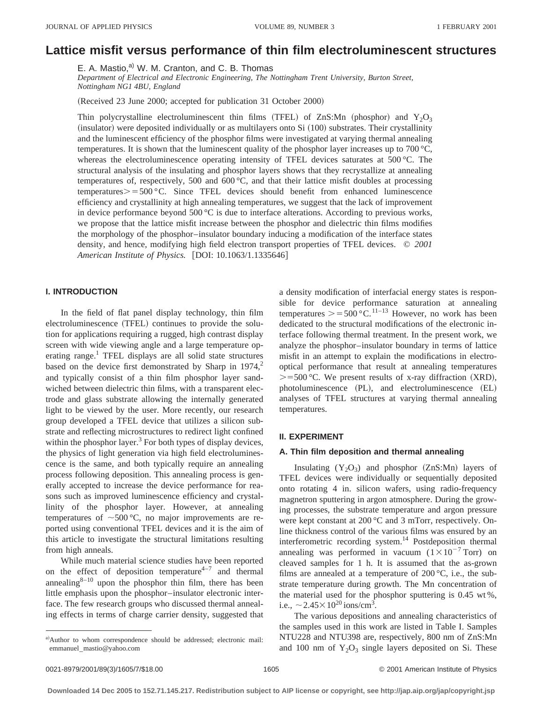# **Lattice misfit versus performance of thin film electroluminescent structures**

E. A. Mastio,<sup>a)</sup> W. M. Cranton, and C. B. Thomas

*Department of Electrical and Electronic Engineering, The Nottingham Trent University, Burton Street, Nottingham NG1 4BU, England*

(Received 23 June 2000; accepted for publication 31 October 2000)

Thin polycrystalline electroluminescent thin films (TFEL) of ZnS:Mn (phosphor) and Y<sub>2</sub>O<sub>3</sub>  $(insulator)$  were deposited individually or as multilayers onto Si  $(100)$  substrates. Their crystallinity and the luminescent efficiency of the phosphor films were investigated at varying thermal annealing temperatures. It is shown that the luminescent quality of the phosphor layer increases up to 700 °C, whereas the electroluminescence operating intensity of TFEL devices saturates at 500 °C. The structural analysis of the insulating and phosphor layers shows that they recrystallize at annealing temperatures of, respectively, 500 and 600 $^{\circ}$ C, and that their lattice misfit doubles at processing temperatures $> 500 \degree C$ . Since TFEL devices should benefit from enhanced luminescence efficiency and crystallinity at high annealing temperatures, we suggest that the lack of improvement in device performance beyond  $500^{\circ}$ C is due to interface alterations. According to previous works, we propose that the lattice misfit increase between the phosphor and dielectric thin films modifies the morphology of the phosphor–insulator boundary inducing a modification of the interface states density, and hence, modifying high field electron transport properties of TFEL devices. © *2001 American Institute of Physics.* [DOI: 10.1063/1.1335646]

# **I. INTRODUCTION**

In the field of flat panel display technology, thin film electroluminescence (TFEL) continues to provide the solution for applications requiring a rugged, high contrast display screen with wide viewing angle and a large temperature operating range.<sup>1</sup> TFEL displays are all solid state structures based on the device first demonstrated by Sharp in  $1974$ ,<sup>2</sup> and typically consist of a thin film phosphor layer sandwiched between dielectric thin films, with a transparent electrode and glass substrate allowing the internally generated light to be viewed by the user. More recently, our research group developed a TFEL device that utilizes a silicon substrate and reflecting microstructures to redirect light confined within the phosphor layer. $3$  For both types of display devices, the physics of light generation via high field electroluminescence is the same, and both typically require an annealing process following deposition. This annealing process is generally accepted to increase the device performance for reasons such as improved luminescence efficiency and crystallinity of the phosphor layer. However, at annealing temperatures of  $\sim 500 \degree C$ , no major improvements are reported using conventional TFEL devices and it is the aim of this article to investigate the structural limitations resulting from high anneals.

While much material science studies have been reported on the effect of deposition temperature<sup>4-7</sup> and thermal annealing $8^{-10}$  upon the phosphor thin film, there has been little emphasis upon the phosphor–insulator electronic interface. The few research groups who discussed thermal annealing effects in terms of charge carrier density, suggested that a density modification of interfacial energy states is responsible for device performance saturation at annealing temperatures  $\ge$  = 500 °C.<sup>11–13</sup> However, no work has been dedicated to the structural modifications of the electronic interface following thermal treatment. In the present work, we analyze the phosphor–insulator boundary in terms of lattice misfit in an attempt to explain the modifications in electrooptical performance that result at annealing temperatures  $> = 500$  °C. We present results of x-ray diffraction (XRD),  $photoluminescence$   $(PL)$ , and electroluminescence  $(EL)$ analyses of TFEL structures at varying thermal annealing temperatures.

## **II. EXPERIMENT**

# **A. Thin film deposition and thermal annealing**

Insulating  $(Y_2O_3)$  and phosphor  $(ZnS:Mn)$  layers of TFEL devices were individually or sequentially deposited onto rotating 4 in. silicon wafers, using radio-frequency magnetron sputtering in argon atmosphere. During the growing processes, the substrate temperature and argon pressure were kept constant at 200 °C and 3 mTorr, respectively. Online thickness control of the various films was ensured by an interferometric recording system.<sup>14</sup> Postdeposition thermal annealing was performed in vacuum  $(1 \times 10^{-7}$  Torr) on cleaved samples for 1 h. It is assumed that the as-grown films are annealed at a temperature of 200 °C, i.e., the substrate temperature during growth. The Mn concentration of the material used for the phosphor sputtering is 0.45 wt %, i.e.,  $\sim$  2.45 $\times$ 10<sup>20</sup> ions/cm<sup>3</sup>.

The various depositions and annealing characteristics of the samples used in this work are listed in Table I. Samples NTU228 and NTU398 are, respectively, 800 nm of ZnS:Mn and 100 nm of  $Y_2O_3$  single layers deposited on Si. These

a)Author to whom correspondence should be addressed; electronic mail: emmanuel–mastio@yahoo.com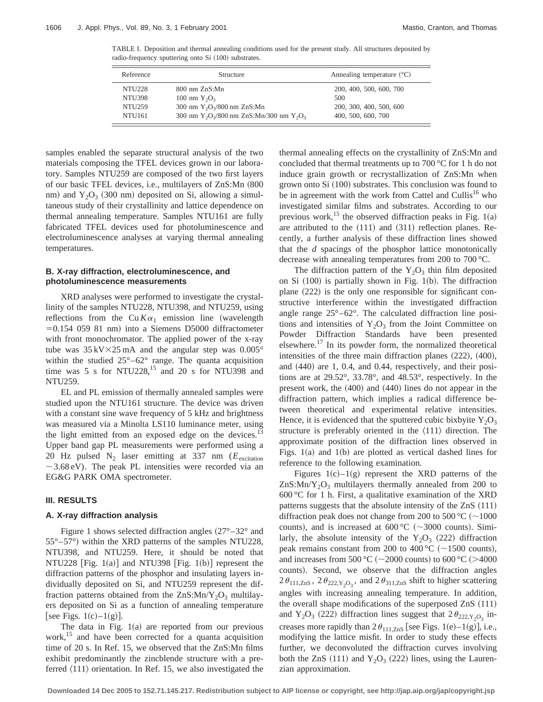TABLE I. Deposition and thermal annealing conditions used for the present study. All structures deposited by radio-frequency sputtering onto Si (100) substrates.

| Reference          | Structure                                       | Annealing temperature $({}^{\circ}C)$ |  |  |
|--------------------|-------------------------------------------------|---------------------------------------|--|--|
| <b>NTU228</b>      | 800 nm ZnS:Mn                                   | 200, 400, 500, 600, 700               |  |  |
| <b>NTU398</b>      | 100 nm $Y_2O_3$                                 | 500                                   |  |  |
| <b>NTU259</b>      | 300 nm $Y_2O_3/800$ nm ZnS:Mn                   | 200, 300, 400, 500, 600               |  |  |
| NTU <sub>161</sub> | 300 nm $Y_2O_3/800$ nm $ZnS:Mn/300$ nm $Y_2O_3$ | 400, 500, 600, 700                    |  |  |

samples enabled the separate structural analysis of the two materials composing the TFEL devices grown in our laboratory. Samples NTU259 are composed of the two first layers of our basic TFEL devices, i.e., multilayers of ZnS:Mn (800 nm) and  $Y_2O_3$  (300 nm) deposited on Si, allowing a simultaneous study of their crystallinity and lattice dependence on thermal annealing temperature. Samples NTU161 are fully fabricated TFEL devices used for photoluminescence and electroluminescence analyses at varying thermal annealing temperatures.

## **B. X-ray diffraction, electroluminescence, and photoluminescence measurements**

XRD analyses were performed to investigate the crystallinity of the samples NTU228, NTU398, and NTU259, using reflections from the  $Cu K\alpha_1$  emission line (wavelength  $=0.154$  059 81 nm) into a Siemens D5000 diffractometer with front monochromator. The applied power of the x-ray tube was  $35 \text{ kV} \times 25 \text{ mA}$  and the angular step was  $0.005^{\circ}$ within the studied 25°–62° range. The quanta acquisition time was 5 s for NTU228, $^{15}$  and 20 s for NTU398 and NTU259.

EL and PL emission of thermally annealed samples were studied upon the NTU161 structure. The device was driven with a constant sine wave frequency of 5 kHz and brightness was measured via a Minolta LS110 luminance meter, using the light emitted from an exposed edge on the devices.<sup>13</sup> Upper band gap PL measurements were performed using a 20 Hz pulsed N<sub>2</sub> laser emitting at 337 nm ( $E_{\text{excitation}}$ )  $\sim$  3.68 eV). The peak PL intensities were recorded via an EG&G PARK OMA spectrometer.

#### **III. RESULTS**

## **A. X-ray diffraction analysis**

Figure 1 shows selected diffraction angles  $(27^{\circ}-32^{\circ})$  and  $55^{\circ}$ – $57^{\circ}$ ) within the XRD patterns of the samples NTU228, NTU398, and NTU259. Here, it should be noted that NTU228 [Fig. 1(a)] and NTU398 [Fig. 1(b)] represent the diffraction patterns of the phosphor and insulating layers individually deposited on Si, and NTU259 represent the diffraction patterns obtained from the  $ZnS:Mn/Y_2O_3$  multilayers deposited on Si as a function of annealing temperature [see Figs.  $1(c) - 1(g)$ ].

The data in Fig.  $1(a)$  are reported from our previous work,<sup>15</sup> and have been corrected for a quanta acquisition time of 20 s. In Ref. 15, we observed that the ZnS:Mn films exhibit predominantly the zincblende structure with a preferred  $\langle 111 \rangle$  orientation. In Ref. 15, we also investigated the thermal annealing effects on the crystallinity of ZnS:Mn and concluded that thermal treatments up to 700 °C for 1 h do not induce grain growth or recrystallization of ZnS:Mn when grown onto  $Si (100)$  substrates. This conclusion was found to be in agreement with the work from Cattel and Cullis<sup>16</sup> who investigated similar films and substrates. According to our previous work,<sup>15</sup> the observed diffraction peaks in Fig. 1(a) are attributed to the  $(111)$  and  $(311)$  reflection planes. Recently, a further analysis of these diffraction lines showed that the *d* spacings of the phosphor lattice monotonically decrease with annealing temperatures from 200 to 700 °C.

The diffraction pattern of the  $Y_2O_3$  thin film deposited on Si  $(100)$  is partially shown in Fig. 1(b). The diffraction plane  $(222)$  is the only one responsible for significant constructive interference within the investigated diffraction angle range 25°–62°. The calculated diffraction line positions and intensities of  $Y_2O_3$  from the Joint Committee on Powder Diffraction Standards have been presented elsewhere.<sup>17</sup> In its powder form, the normalized theoretical intensities of the three main diffraction planes  $(222)$ ,  $(400)$ , and  $(440)$  are 1, 0.4, and 0.44, respectively, and their positions are at 29.52°, 33.78°, and 48.53°, respectively. In the present work, the  $(400)$  and  $(440)$  lines do not appear in the diffraction pattern, which implies a radical difference between theoretical and experimental relative intensities. Hence, it is evidenced that the sputtered cubic bixbyite  $Y_2O_3$ structure is preferably oriented in the  $\langle 111 \rangle$  direction. The approximate position of the diffraction lines observed in Figs.  $1(a)$  and  $1(b)$  are plotted as vertical dashed lines for reference to the following examination.

Figures  $1(c)$ – $1(g)$  represent the XRD patterns of the  $ZnS: Mn/Y<sub>2</sub>O<sub>3</sub>$  multilayers thermally annealed from 200 to 600 °C for 1 h. First, a qualitative examination of the XRD patterns suggests that the absolute intensity of the  $ZnS$   $(111)$ diffraction peak does not change from 200 to 500 °C ( $\sim$ 1000 counts), and is increased at  $600\,^{\circ}\text{C}$  ( $\sim$ 3000 counts). Similarly, the absolute intensity of the  $Y_2O_3$  (222) diffraction peak remains constant from 200 to 400 °C ( $\sim$ 1500 counts), and increases from 500 °C ( $\sim$ 2000 counts) to 600 °C (>4000 counts). Second, we observe that the diffraction angles  $2\theta_{111,\text{ZnS}}$ ,  $2\theta_{222,\text{Y}_2\text{O}_3}$ , and  $2\theta_{311,\text{ZnS}}$  shift to higher scattering angles with increasing annealing temperature. In addition, the overall shape modifications of the superposed  $ZnS~(111)$ and Y<sub>2</sub>O<sub>3</sub> (222) diffraction lines suggest that  $2\theta_{222,Y_2O_2}$  increases more rapidly than  $2\theta_{111,ZnS}$  [see Figs. 1(e)–1(g)], i.e., modifying the lattice misfit. In order to study these effects further, we deconvoluted the diffraction curves involving both the ZnS  $(111)$  and Y<sub>2</sub>O<sub>3</sub>  $(222)$  lines, using the Laurenzian approximation.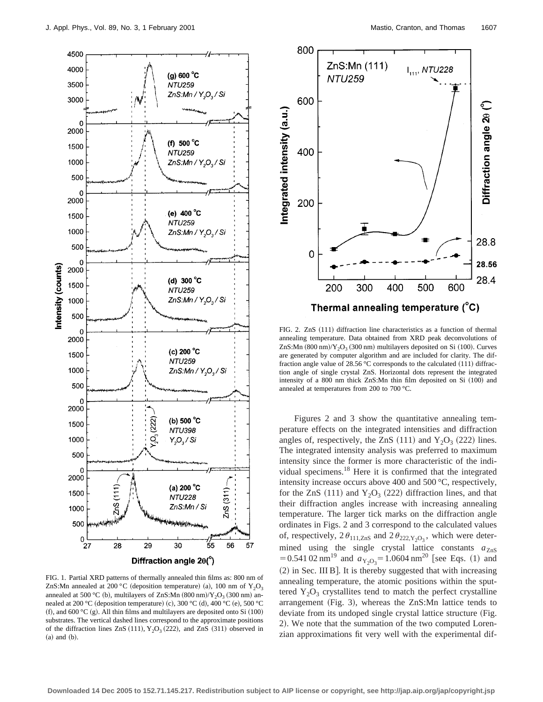

FIG. 1. Partial XRD patterns of thermally annealed thin films as: 800 nm of ZnS:Mn annealed at 200 °C (deposition temperature) (a), 100 nm of  $Y_2O_3$ annealed at 500 °C (b), multilayers of ZnS:Mn  $(800 ~nm)/Y_2O_3$   $(300 ~nm)$  annealed at 200 °C (deposition temperature) (c), 300 °C (d), 400 °C (e), 500 °C (f), and 600 °C (g). All thin films and multilayers are deposited onto Si  $(100)$ substrates. The vertical dashed lines correspond to the approximate positions of the diffraction lines  $ZnS (111), Y<sub>2</sub>O<sub>3</sub> (222),$  and  $ZnS (311)$  observed in  $(a)$  and  $(b)$ .



FIG. 2. ZnS (111) diffraction line characteristics as a function of thermal annealing temperature. Data obtained from XRD peak deconvolutions of ZnS:Mn  $(800 ~nm)/Y_2O_3 (300 ~nm)$  multilayers deposited on Si  $(100)$ . Curves are generated by computer algorithm and are included for clarity. The diffraction angle value of 28.56 °C corresponds to the calculated  $(111)$  diffraction angle of single crystal ZnS. Horizontal dots represent the integrated intensity of a 800 nm thick  $ZnS:Mn$  thin film deposited on Si  $(100)$  and annealed at temperatures from 200 to 700 °C.

Figures 2 and 3 show the quantitative annealing temperature effects on the integrated intensities and diffraction angles of, respectively, the ZnS  $(111)$  and Y<sub>2</sub>O<sub>3</sub>  $(222)$  lines. The integrated intensity analysis was preferred to maximum intensity since the former is more characteristic of the individual specimens.18 Here it is confirmed that the integrated intensity increase occurs above 400 and 500 °C, respectively, for the ZnS  $(111)$  and Y<sub>2</sub>O<sub>3</sub>  $(222)$  diffraction lines, and that their diffraction angles increase with increasing annealing temperature. The larger tick marks on the diffraction angle ordinates in Figs. 2 and 3 correspond to the calculated values of, respectively,  $2\theta_{111,ZnS}$  and  $2\theta_{222,Y_2O_3}$ , which were determined using the single crystal lattice constants  $a_{ZnS}$  $= 0.541 02 \text{ nm}^{19}$  and  $a_{Y_2O_3} = 1.0604 \text{ nm}^{20}$  [see Eqs. (1) and  $(2)$  in Sec. III B]. It is thereby suggested that with increasing annealing temperature, the atomic positions within the sputtered  $Y_2O_3$  crystallites tend to match the perfect crystalline arrangement (Fig. 3), whereas the  $ZnS:Mn$  lattice tends to deviate from its undoped single crystal lattice structure (Fig. 2). We note that the summation of the two computed Lorenzian approximations fit very well with the experimental dif-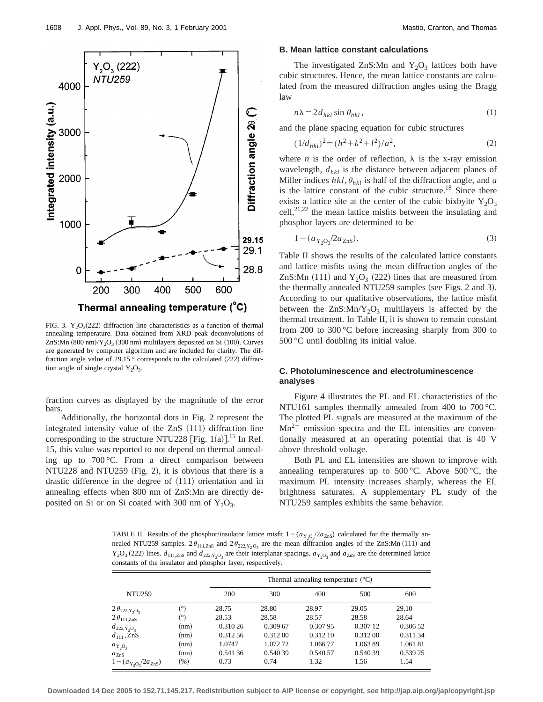

FIG. 3.  $Y_2O_3(222)$  diffraction line characteristics as a function of thermal annealing temperature. Data obtained from XRD peak deconvolutions of ZnS:Mn  $(800 ~nm)/Y_2O_3$   $(300 ~nm)$  multilayers deposited on Si  $(100)$ . Curves are generated by computer algorithm and are included for clarity. The diffraction angle value of 29.15  $^{\circ}$  corresponds to the calculated (222) diffraction angle of single crystal  $Y_2O_3$ .

fraction curves as displayed by the magnitude of the error bars.

Additionally, the horizontal dots in Fig. 2 represent the integrated intensity value of the ZnS  $(111)$  diffraction line corresponding to the structure NTU228 [Fig.  $1(a)$ ].<sup>15</sup> In Ref. 15, this value was reported to not depend on thermal annealing up to 700 °C. From a direct comparison between  $NTU228$  and  $NTU259$  (Fig. 2), it is obvious that there is a drastic difference in the degree of  $\langle 111 \rangle$  orientation and in annealing effects when 800 nm of ZnS:Mn are directly deposited on Si or on Si coated with 300 nm of  $Y_2O_3$ .

#### **B. Mean lattice constant calculations**

The investigated ZnS:Mn and  $Y_2O_3$  lattices both have cubic structures. Hence, the mean lattice constants are calculated from the measured diffraction angles using the Bragg law

$$
n\lambda = 2d_{hkl} \sin \theta_{hkl},\tag{1}
$$

and the plane spacing equation for cubic structures

$$
(1/d_{hkl})^2 = (h^2 + k^2 + l^2)/a^2,
$$
 (2)

where *n* is the order of reflection,  $\lambda$  is the x-ray emission wavelength,  $d_{hkl}$  is the distance between adjacent planes of Miller indices  $hkl$ ,  $\theta_{hkl}$  is half of the diffraction angle, and *a* is the lattice constant of the cubic structure.<sup>18</sup> Since there exists a lattice site at the center of the cubic bixbyite  $Y_2O_3$ cell,  $2^{1,22}$  the mean lattice misfits between the insulating and phosphor layers are determined to be

$$
1 - (a_{Y_2O_3}/2a_{ZnS}).
$$
\n(3)

Table II shows the results of the calculated lattice constants and lattice misfits using the mean diffraction angles of the ZnS:Mn  $(111)$  and  $Y_2O_3$   $(222)$  lines that are measured from the thermally annealed NTU259 samples (see Figs. 2 and 3). According to our qualitative observations, the lattice misfit between the  $ZnS: Mn/Y_2O_3$  multilayers is affected by the thermal treatment. In Table II, it is shown to remain constant from 200 to 300 °C before increasing sharply from 300 to 500 °C until doubling its initial value.

## **C. Photoluminescence and electroluminescence analyses**

Figure 4 illustrates the PL and EL characteristics of the NTU161 samples thermally annealed from 400 to 700 °C. The plotted PL signals are measured at the maximum of the  $Mn^{2+}$  emission spectra and the EL intensities are conventionally measured at an operating potential that is 40 V above threshold voltage.

Both PL and EL intensities are shown to improve with annealing temperatures up to  $500^{\circ}$ C. Above  $500^{\circ}$ C, the maximum PL intensity increases sharply, whereas the EL brightness saturates. A supplementary PL study of the NTU259 samples exhibits the same behavior.

TABLE II. Results of the phosphor/insulator lattice misfit  $1-(a_{Y_2O_3}/2a_{ZnS})$  calculated for the thermally annealed NTU259 samples.  $2\theta_{111,ZnS}$  and  $2\theta_{222,Y_2O_3}$  are the mean diffraction angles of the ZnS:Mn (111) and  $Y_2O_3$  (222) lines.  $d_{111,ZnS}$  and  $d_{222,Y_2O_3}$  are their interplanar spacings.  $a_{Y_2O_3}$  and  $a_{ZnS}$  are the determined lattice constants of the insulator and phosphor layer, respectively.

|                                |         | Thermal annealing temperature $({}^{\circ}C)$ |          |          |          |          |  |
|--------------------------------|---------|-----------------------------------------------|----------|----------|----------|----------|--|
| <b>NTU259</b>                  |         | 200                                           | 300      | 400      | 500      | 600      |  |
| $2\theta_{222,Y_2O_3}$         | (°)     | 28.75                                         | 28.80    | 28.97    | 29.05    | 29.10    |  |
| $2\theta_{111,ZnS}$            | (°)     | 28.53                                         | 28.58    | 28.57    | 28.58    | 28.64    |  |
| $d_{222,\text{Y}_2\text{O}_3}$ | (nm)    | 0.310 26                                      | 0.309 67 | 0.30795  | 0.307 12 | 0.306 52 |  |
| $d_{111}$ , ZnS                | (nm)    | 0.312.56                                      | 0.312 00 | 0.312 10 | 0.312 00 | 0.31134  |  |
| $a_{\text{Y}_2\text{O}_3}$     | (nm)    | 1.0747                                        | 1.072.72 | 1.06677  | 1.06389  | 1.06181  |  |
| $a_{\text{ZnS}}$               | (nm)    | 0.54136                                       | 0.54039  | 0.540 57 | 0.54039  | 0.539 25 |  |
| $1 - (a_{Y_2O_3}/2a_{ZnS})$    | $(\% )$ | 0.73                                          | 0.74     | 1.32     | 1.56     | 1.54     |  |

**Downloaded 14 Dec 2005 to 152.71.145.217. Redistribution subject to AIP license or copyright, see http://jap.aip.org/jap/copyright.jsp**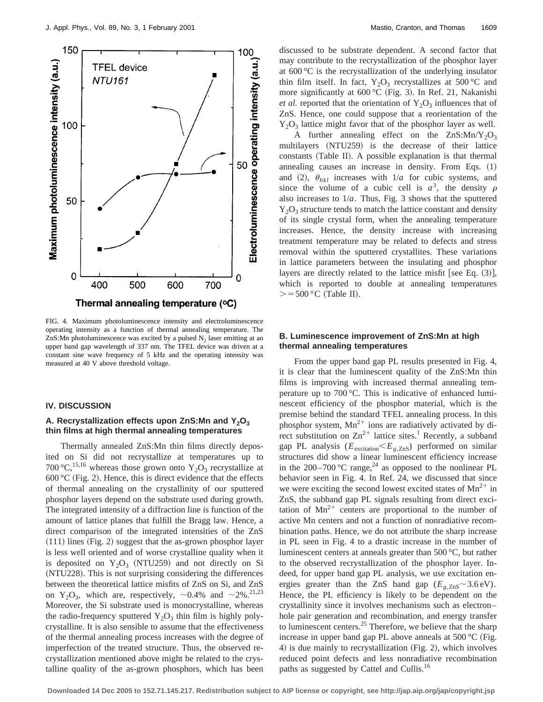

FIG. 4. Maximum photoluminescence intensity and electroluminescence operating intensity as a function of thermal annealing temperature. The ZnS:Mn photoluminescence was excited by a pulsed  $N_2$  laser emitting at an upper band gap wavelength of 337 nm. The TFEL device was driven at a constant sine wave frequency of 5 kHz and the operating intensity was measured at 40 V above threshold voltage.

#### **IV. DISCUSSION**

## A. Recrystallization effects upon ZnS:Mn and Y<sub>2</sub>O<sub>3</sub> **thin films at high thermal annealing temperatures**

Thermally annealed ZnS:Mn thin films directly deposited on Si did not recrystallize at temperatures up to 700 °C,<sup>15,16</sup> whereas those grown onto  $Y_2O_3$  recrystallize at 600 °C (Fig. 2). Hence, this is direct evidence that the effects of thermal annealing on the crystallinity of our sputtered phosphor layers depend on the substrate used during growth. The integrated intensity of a diffraction line is function of the amount of lattice planes that fulfill the Bragg law. Hence, a direct comparison of the integrated intensities of the ZnS  $(111)$  lines (Fig. 2) suggest that the as-grown phosphor layer is less well oriented and of worse crystalline quality when it is deposited on  $Y_2O_3$  (NTU259) and not directly on Si (NTU228). This is not surprising considering the differences between the theoretical lattice misfits of ZnS on Si, and ZnS on Y<sub>2</sub>O<sub>3</sub>, which are, respectively,  $\sim$ 0.4% and  $\sim$ 2%.<sup>21,23</sup> Moreover, the Si substrate used is monocrystalline, whereas the radio-frequency sputtered  $Y_2O_3$  thin film is highly polycrystalline. It is also sensible to assume that the effectiveness of the thermal annealing process increases with the degree of imperfection of the treated structure. Thus, the observed recrystallization mentioned above might be related to the crystalline quality of the as-grown phosphors, which has been discussed to be substrate dependent. A second factor that may contribute to the recrystallization of the phosphor layer at 600 °C is the recrystallization of the underlying insulator thin film itself. In fact,  $Y_2O_3$  recrystallizes at 500 °C and more significantly at  $600 °C$  (Fig. 3). In Ref. 21, Nakanishi *et al.* reported that the orientation of  $Y_2O_3$  influences that of ZnS. Hence, one could suppose that a reorientation of the  $Y_2O_3$  lattice might favor that of the phosphor layer as well.

A further annealing effect on the  $ZnS:Mn/Y_2O_3$ multilayers (NTU259) is the decrease of their lattice constants (Table II). A possible explanation is that thermal annealing causes an increase in density. From Eqs.  $(1)$ and (2),  $\theta_{hkl}$  increases with  $1/a$  for cubic systems, and since the volume of a cubic cell is  $a^3$ , the density  $\rho$ also increases to  $1/a$ . Thus, Fig. 3 shows that the sputtered  $Y_2O_3$  structure tends to match the lattice constant and density of its single crystal form, when the annealing temperature increases. Hence, the density increase with increasing treatment temperature may be related to defects and stress removal within the sputtered crystallites. These variations in lattice parameters between the insulating and phosphor layers are directly related to the lattice misfit [see Eq.  $(3)$ ], which is reported to double at annealing temperatures  $> =500$  °C (Table II).

## **B. Luminescence improvement of ZnS:Mn at high thermal annealing temperatures**

From the upper band gap PL results presented in Fig. 4, it is clear that the luminescent quality of the ZnS:Mn thin films is improving with increased thermal annealing temperature up to 700 °C. This is indicative of enhanced luminescent efficiency of the phosphor material, which is the premise behind the standard TFEL annealing process. In this phosphor system,  $Mn^{2+}$  ions are radiatively activated by direct substitution on  $Zn^{2+}$  lattice sites.<sup>1</sup> Recently, a subband gap PL analysis ( $E_{\text{excitation}} < E_{g,\text{ZnS}}$ ) performed on similar structures did show a linear luminescent efficiency increase in the 200–700 °C range,<sup>24</sup> as opposed to the nonlinear PL behavior seen in Fig. 4. In Ref. 24, we discussed that since we were exciting the second lowest excited states of  $Mn^{2+}$  in ZnS, the subband gap PL signals resulting from direct excitation of  $Mn^{2+}$  centers are proportional to the number of active Mn centers and not a function of nonradiative recombination paths. Hence, we do not attribute the sharp increase in PL seen in Fig. 4 to a drastic increase in the number of luminescent centers at anneals greater than 500 °C, but rather to the observed recrystallization of the phosphor layer. Indeed, for upper band gap PL analysis, we use excitation energies greater than the ZnS band gap  $(E_{g,\text{ZnS}} \sim 3.6 \text{ eV})$ . Hence, the PL efficiency is likely to be dependent on the crystallinity since it involves mechanisms such as electron– hole pair generation and recombination, and energy transfer to luminescent centers. $25$  Therefore, we believe that the sharp increase in upper band gap PL above anneals at  $500 \,^{\circ}C$  (Fig. 4) is due mainly to recrystallization (Fig. 2), which involves reduced point defects and less nonradiative recombination paths as suggested by Cattel and Cullis.<sup>16</sup>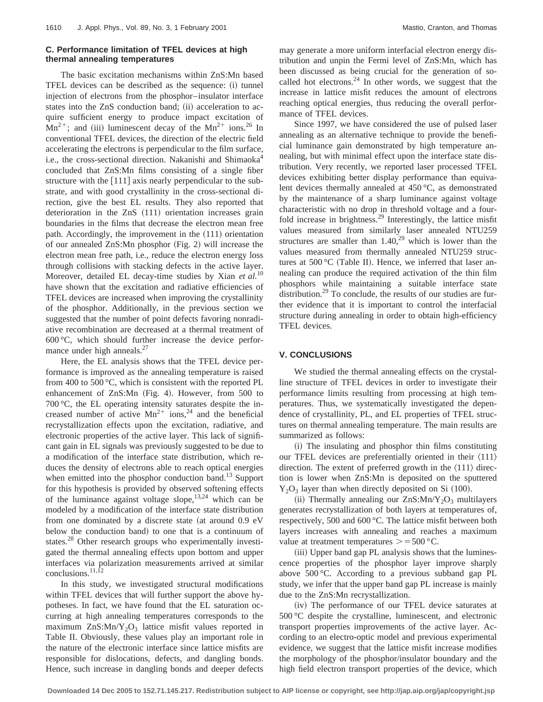# **C. Performance limitation of TFEL devices at high thermal annealing temperatures**

The basic excitation mechanisms within ZnS:Mn based TFEL devices can be described as the sequence: (i) tunnel injection of electrons from the phosphor–insulator interface states into the ZnS conduction band; (ii) acceleration to acquire sufficient energy to produce impact excitation of  $Mn^{2+}$ ; and (iii) luminescent decay of the  $Mn^{2+}$  ions.<sup>26</sup> In conventional TFEL devices, the direction of the electric field accelerating the electrons is perpendicular to the film surface, i.e., the cross-sectional direction. Nakanishi and Shimaoka<sup>4</sup> concluded that ZnS:Mn films consisting of a single fiber structure with the  $[111]$  axis nearly perpendicular to the substrate, and with good crystallinity in the cross-sectional direction, give the best EL results. They also reported that deterioration in the  $ZnS$   $(111)$  orientation increases grain boundaries in the films that decrease the electron mean free path. Accordingly, the improvement in the (111) orientation of our annealed  $ZnS:Mn$  phosphor (Fig. 2) will increase the electron mean free path, i.e., reduce the electron energy loss through collisions with stacking defects in the active layer. Moreover, detailed EL decay-time studies by Xian *et al.*<sup>10</sup> have shown that the excitation and radiative efficiencies of TFEL devices are increased when improving the crystallinity of the phosphor. Additionally, in the previous section we suggested that the number of point defects favoring nonradiative recombination are decreased at a thermal treatment of 600 °C, which should further increase the device performance under high anneals.<sup>27</sup>

Here, the EL analysis shows that the TFEL device performance is improved as the annealing temperature is raised from 400 to 500 °C, which is consistent with the reported PL enhancement of  $ZnS:Mn$  (Fig. 4). However, from 500 to 700 °C, the EL operating intensity saturates despite the increased number of active  $Mn^{2+}$  ions,<sup>24</sup> and the beneficial recrystallization effects upon the excitation, radiative, and electronic properties of the active layer. This lack of significant gain in EL signals was previously suggested to be due to a modification of the interface state distribution, which reduces the density of electrons able to reach optical energies when emitted into the phosphor conduction band.<sup>13</sup> Support for this hypothesis is provided by observed softening effects of the luminance against voltage slope,  $13,24$  which can be modeled by a modification of the interface state distribution from one dominated by a discrete state (at around  $0.9 \text{ eV}$ below the conduction band) to one that is a continuum of states.<sup>28</sup> Other research groups who experimentally investigated the thermal annealing effects upon bottom and upper interfaces via polarization measurements arrived at similar conclusions.<sup>11,12</sup>

In this study, we investigated structural modifications within TFEL devices that will further support the above hypotheses. In fact, we have found that the EL saturation occurring at high annealing temperatures corresponds to the maximum  $ZnS: Mn/Y<sub>2</sub>O<sub>3</sub>$  lattice misfit values reported in Table II. Obviously, these values play an important role in the nature of the electronic interface since lattice misfits are responsible for dislocations, defects, and dangling bonds. Hence, such increase in dangling bonds and deeper defects may generate a more uniform interfacial electron energy distribution and unpin the Fermi level of ZnS:Mn, which has been discussed as being crucial for the generation of socalled hot electrons. $24$  In other words, we suggest that the increase in lattice misfit reduces the amount of electrons reaching optical energies, thus reducing the overall performance of TFEL devices.

Since 1997, we have considered the use of pulsed laser annealing as an alternative technique to provide the beneficial luminance gain demonstrated by high temperature annealing, but with minimal effect upon the interface state distribution. Very recently, we reported laser processed TFEL devices exhibiting better display performance than equivalent devices thermally annealed at 450 °C, as demonstrated by the maintenance of a sharp luminance against voltage characteristic with no drop in threshold voltage and a fourfold increase in brightness.29 Interestingly, the lattice misfit values measured from similarly laser annealed NTU259 structures are smaller than  $1.40<sup>29</sup>$  which is lower than the values measured from thermally annealed NTU259 structures at 500 °C (Table II). Hence, we inferred that laser annealing can produce the required activation of the thin film phosphors while maintaining a suitable interface state distribution.<sup>29</sup> To conclude, the results of our studies are further evidence that it is important to control the interfacial structure during annealing in order to obtain high-efficiency TFEL devices.

#### **V. CONCLUSIONS**

We studied the thermal annealing effects on the crystalline structure of TFEL devices in order to investigate their performance limits resulting from processing at high temperatures. Thus, we systematically investigated the dependence of crystallinity, PL, and EL properties of TFEL structures on thermal annealing temperature. The main results are summarized as follows:

(i) The insulating and phosphor thin films constituting our TFEL devices are preferentially oriented in their  $\langle 111 \rangle$ direction. The extent of preferred growth in the  $\langle 111 \rangle$  direction is lower when ZnS:Mn is deposited on the sputtered  $Y_2O_3$  layer than when directly deposited on Si (100).

(ii) Thermally annealing our  $ZnS:Mn/Y_2O_3$  multilayers generates recrystallization of both layers at temperatures of, respectively, 500 and 600 °C. The lattice misfit between both layers increases with annealing and reaches a maximum value at treatment temperatures  $> =500$  °C.

(iii) Upper band gap PL analysis shows that the luminescence properties of the phosphor layer improve sharply above 500 °C. According to a previous subband gap PL study, we infer that the upper band gap PL increase is mainly due to the ZnS:Mn recrystallization.

(iv) The performance of our TFEL device saturates at 500 °C despite the crystalline, luminescent, and electronic transport properties improvements of the active layer. According to an electro-optic model and previous experimental evidence, we suggest that the lattice misfit increase modifies the morphology of the phosphor/insulator boundary and the high field electron transport properties of the device, which